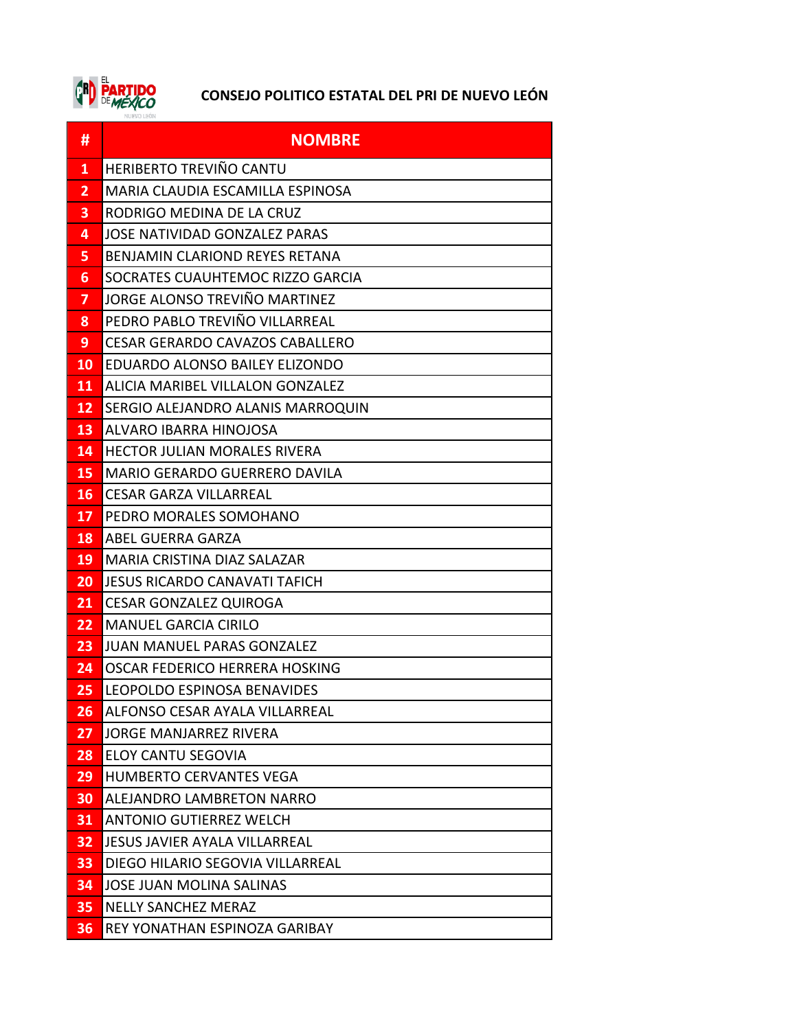

| #              | <b>NOMBRE</b>                           |
|----------------|-----------------------------------------|
| 1              | HERIBERTO TREVIÑO CANTU                 |
| 2              | MARIA CLAUDIA ESCAMILLA ESPINOSA        |
| 3              | RODRIGO MEDINA DE LA CRUZ               |
| 4              | JOSE NATIVIDAD GONZALEZ PARAS           |
| 5.             | <b>BENJAMIN CLARIOND REYES RETANA</b>   |
| 6              | SOCRATES CUAUHTEMOC RIZZO GARCIA        |
| $\overline{ }$ | JORGE ALONSO TREVIÑO MARTINEZ           |
| 8              | PEDRO PABLO TREVIÑO VILLARREAL          |
| 9              | <b>CESAR GERARDO CAVAZOS CABALLERO</b>  |
| <b>10</b>      | EDUARDO ALONSO BAILEY ELIZONDO          |
| 11             | <b>ALICIA MARIBEL VILLALON GONZALEZ</b> |
| 12             | SERGIO ALEJANDRO ALANIS MARROQUIN       |
| 13             | ALVARO IBARRA HINOJOSA                  |
| 14             | <b>HECTOR JULIAN MORALES RIVERA</b>     |
| 15             | <b>MARIO GERARDO GUERRERO DAVILA</b>    |
| <b>16</b>      | <b>CESAR GARZA VILLARREAL</b>           |
| 17             | PEDRO MORALES SOMOHANO                  |
| 18             | ABEL GUERRA GARZA                       |
| 19             | MARIA CRISTINA DIAZ SALAZAR             |
| 20             | JESUS RICARDO CANAVATI TAFICH           |
| 21             | <b>CESAR GONZALEZ QUIROGA</b>           |
| 22             | <b>MANUEL GARCIA CIRILO</b>             |
| 23             | <b>JUAN MANUEL PARAS GONZALEZ</b>       |
| 24             | OSCAR FEDERICO HERRERA HOSKING          |
| 25             | LEOPOLDO ESPINOSA BENAVIDES             |
| 26             | ALFONSO CESAR AYALA VILLARREAL          |
| 27             | <b>JORGE MANJARREZ RIVERA</b>           |
| 28             | <b>ELOY CANTU SEGOVIA</b>               |
| 29             | <b>HUMBERTO CERVANTES VEGA</b>          |
| 30             | ALEJANDRO LAMBRETON NARRO               |
| 31             | <b>ANTONIO GUTIERREZ WELCH</b>          |
| 32             | <b>JESUS JAVIER AYALA VILLARREAL</b>    |
| 33             | DIEGO HILARIO SEGOVIA VILLARREAL        |
| 34             | <b>JOSE JUAN MOLINA SALINAS</b>         |
| 35             | <b>NELLY SANCHEZ MERAZ</b>              |
| 36             | REY YONATHAN ESPINOZA GARIBAY           |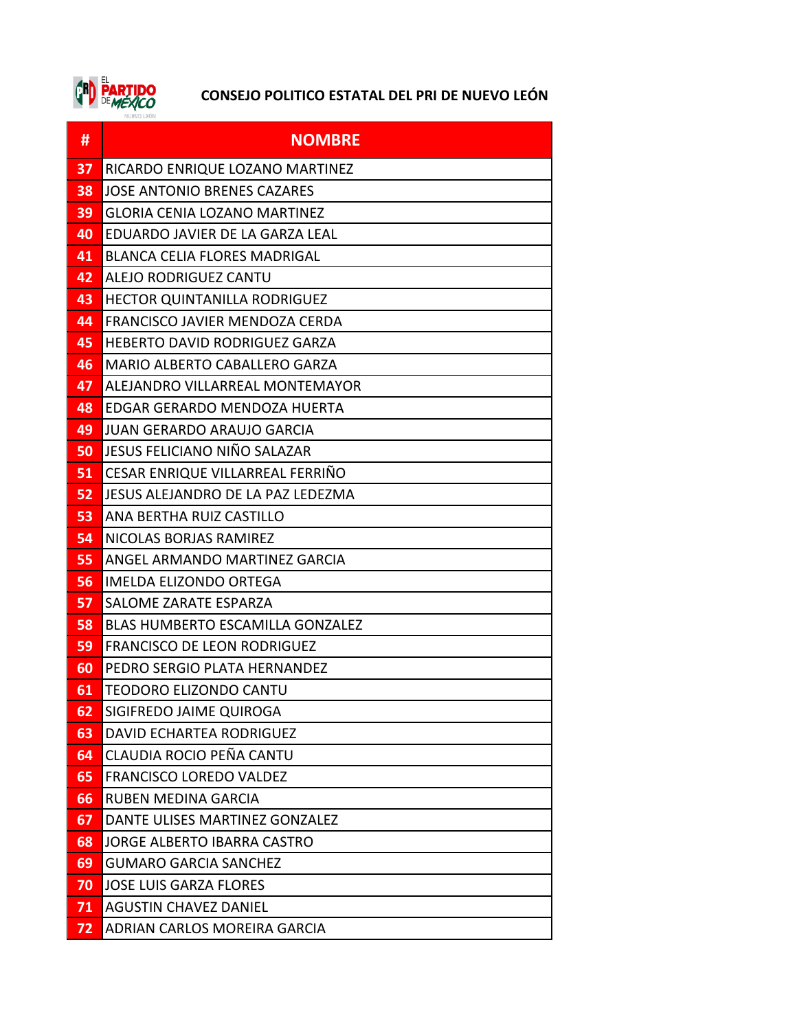

| #  | <b>NOMBRE</b>                           |
|----|-----------------------------------------|
| 37 | RICARDO ENRIQUE LOZANO MARTINEZ         |
| 38 | <b>JOSE ANTONIO BRENES CAZARES</b>      |
| 39 | <b>GLORIA CENIA LOZANO MARTINEZ</b>     |
| 40 | EDUARDO JAVIER DE LA GARZA LEAL         |
| 41 | <b>BLANCA CELIA FLORES MADRIGAL</b>     |
| 42 | ALEJO RODRIGUEZ CANTU                   |
| 43 | <b>HECTOR QUINTANILLA RODRIGUEZ</b>     |
| 44 | FRANCISCO JAVIER MENDOZA CERDA          |
| 45 | HEBERTO DAVID RODRIGUEZ GARZA           |
| 46 | MARIO ALBERTO CABALLERO GARZA           |
| 47 | ALEJANDRO VILLARREAL MONTEMAYOR         |
| 48 | EDGAR GERARDO MENDOZA HUERTA            |
| 49 | JUAN GERARDO ARAUJO GARCIA              |
| 50 | JESUS FELICIANO NIÑO SALAZAR            |
| 51 | CESAR ENRIQUE VILLARREAL FERRIÑO        |
| 52 | JESUS ALEJANDRO DE LA PAZ LEDEZMA       |
| 53 | ANA BERTHA RUIZ CASTILLO                |
| 54 | NICOLAS BORJAS RAMIREZ                  |
| 55 | ANGEL ARMANDO MARTINEZ GARCIA           |
| 56 | IMELDA ELIZONDO ORTEGA                  |
| 57 | SALOME ZARATE ESPARZA                   |
| 58 | <b>BLAS HUMBERTO ESCAMILLA GONZALEZ</b> |
| 59 | <b>FRANCISCO DE LEON RODRIGUEZ</b>      |
| 60 | PEDRO SERGIO PLATA HERNANDEZ            |
| 61 | <b>TEODORO ELIZONDO CANTU</b>           |
| 62 | SIGIFREDO JAIME QUIROGA                 |
| 63 | DAVID ECHARTEA RODRIGUEZ                |
| 64 | CLAUDIA ROCIO PEÑA CANTU                |
| 65 | <b>FRANCISCO LOREDO VALDEZ</b>          |
| 66 | <b>RUBEN MEDINA GARCIA</b>              |
| 67 | DANTE ULISES MARTINEZ GONZALEZ          |
| 68 | <b>JORGE ALBERTO IBARRA CASTRO</b>      |
| 69 | <b>GUMARO GARCIA SANCHEZ</b>            |
| 70 | <b>JOSE LUIS GARZA FLORES</b>           |
| 71 | <b>AGUSTIN CHAVEZ DANIEL</b>            |
| 72 | ADRIAN CARLOS MOREIRA GARCIA            |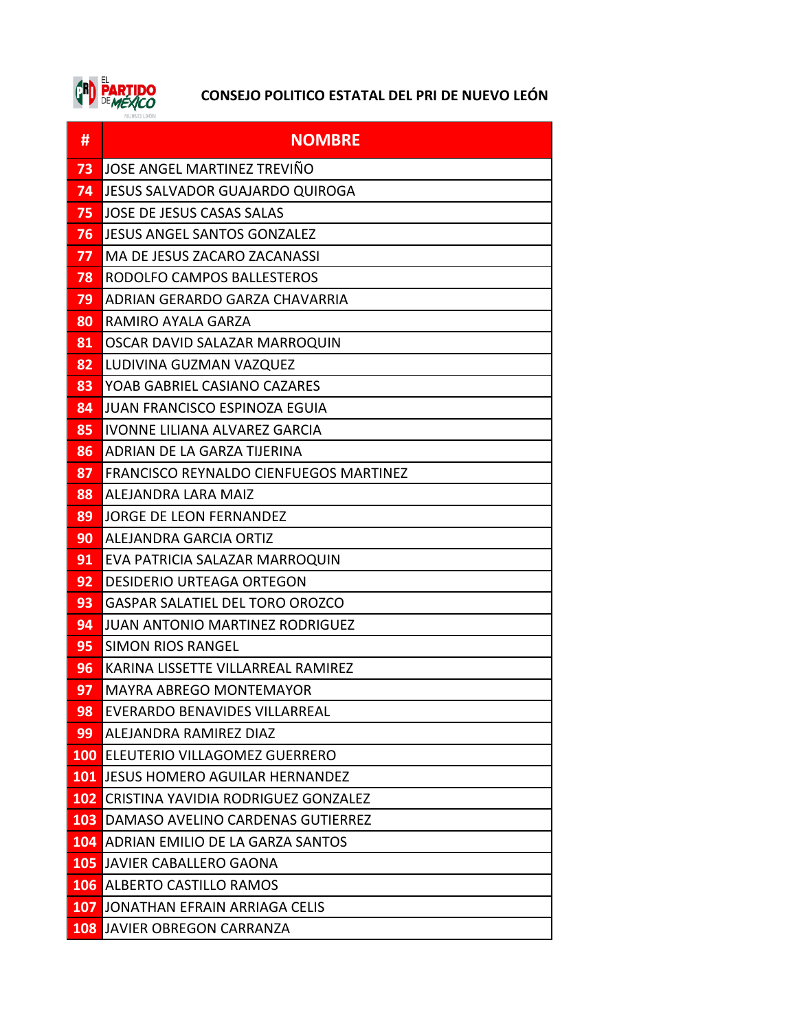

| #          | <b>NOMBRE</b>                           |
|------------|-----------------------------------------|
| 73         | JOSE ANGEL MARTINEZ TREVIÑO             |
| 74         | JESUS SALVADOR GUAJARDO QUIROGA         |
| 75         | JOSE DE JESUS CASAS SALAS               |
| 76         | JESUS ANGEL SANTOS GONZALEZ             |
| 77         | MA DE JESUS ZACARO ZACANASSI            |
| 78         | RODOLFO CAMPOS BALLESTEROS              |
| 79         | ADRIAN GERARDO GARZA CHAVARRIA          |
| 80         | RAMIRO AYALA GARZA                      |
| 81         | OSCAR DAVID SALAZAR MARROQUIN           |
| 82         | LUDIVINA GUZMAN VAZQUEZ                 |
| 83         | YOAB GABRIEL CASIANO CAZARES            |
| 84         | JUAN FRANCISCO ESPINOZA EGUIA           |
| 85         | IVONNE LILIANA ALVAREZ GARCIA           |
| 86         | ADRIAN DE LA GARZA TIJERINA             |
| 87         | FRANCISCO REYNALDO CIENFUEGOS MARTINEZ  |
| 88         | ALEJANDRA LARA MAIZ                     |
| 89         | <b>JORGE DE LEON FERNANDEZ</b>          |
| 90         | ALEJANDRA GARCIA ORTIZ                  |
| 91         | EVA PATRICIA SALAZAR MARROQUIN          |
| 92         | <b>DESIDERIO URTEAGA ORTEGON</b>        |
| 93         | <b>GASPAR SALATIEL DEL TORO OROZCO</b>  |
| 94         | <b>JUAN ANTONIO MARTINEZ RODRIGUEZ</b>  |
| 95         | <b>SIMON RIOS RANGEL</b>                |
| 96         | KARINA LISSETTE VILLARREAL RAMIREZ      |
| 97         | MAYRA ABREGO MONTEMAYOR                 |
| 98         | <b>EVERARDO BENAVIDES VILLARREAL</b>    |
| 99         | ALEJANDRA RAMIREZ DIAZ                  |
| <b>100</b> | <b>ELEUTERIO VILLAGOMEZ GUERRERO</b>    |
| 101        | <b>JESUS HOMERO AGUILAR HERNANDEZ</b>   |
| 102        | CRISTINA YAVIDIA RODRIGUEZ GONZALEZ     |
| 103        | DAMASO AVELINO CARDENAS GUTIERREZ       |
| <b>104</b> | <b>ADRIAN EMILIO DE LA GARZA SANTOS</b> |
| 105        | JAVIER CABALLERO GAONA                  |
| 106        | <b>ALBERTO CASTILLO RAMOS</b>           |
| 107        | JONATHAN EFRAIN ARRIAGA CELIS           |
| 108        | JAVIER OBREGON CARRANZA                 |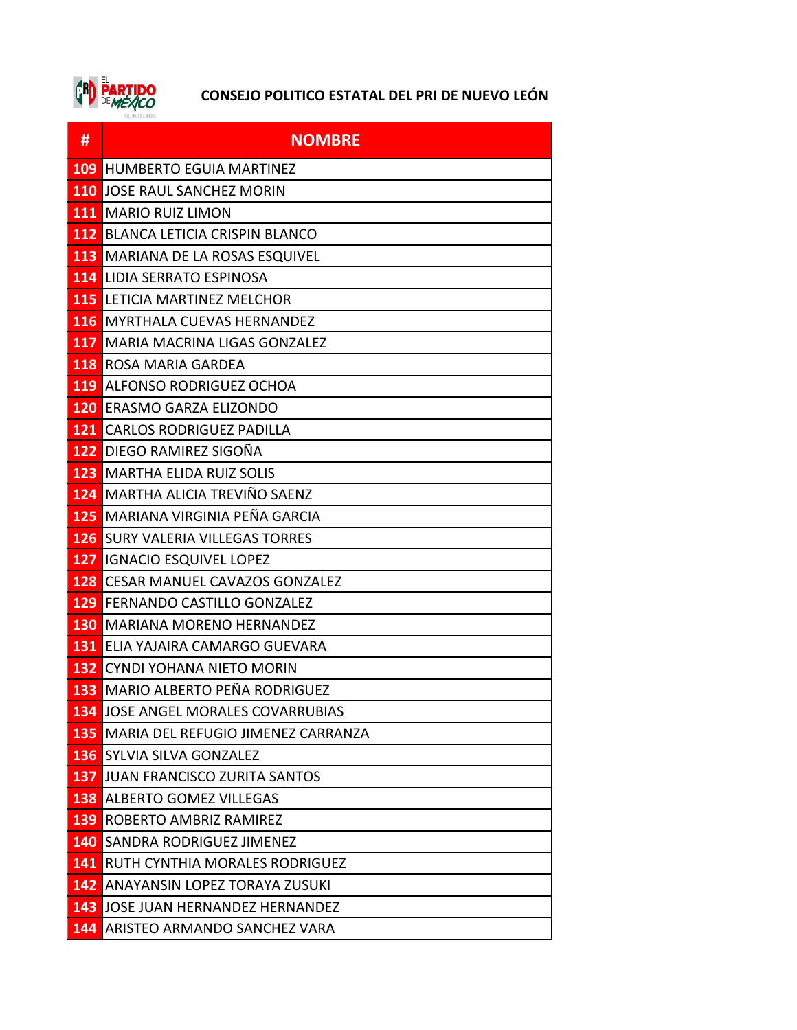

| #          | <b>NOMBRE</b>                            |
|------------|------------------------------------------|
| 109        | <b>HUMBERTO EGUIA MARTINEZ</b>           |
| <b>110</b> | JOSE RAUL SANCHEZ MORIN                  |
| 111        | <b>MARIO RUIZ LIMON</b>                  |
|            | <b>112 BLANCA LETICIA CRISPIN BLANCO</b> |
| <b>113</b> | <b>MARIANA DE LA ROSAS ESQUIVEL</b>      |
| 114        | LIDIA SERRATO ESPINOSA                   |
| 115        | LETICIA MARTINEZ MELCHOR                 |
| 116        | <b>MYRTHALA CUEVAS HERNANDEZ</b>         |
| <b>117</b> | MARIA MACRINA LIGAS GONZALEZ             |
|            | <b>118 ROSA MARIA GARDEA</b>             |
| 119        | ALFONSO RODRIGUEZ OCHOA                  |
|            | 120 ERASMO GARZA ELIZONDO                |
| 121        | <b>CARLOS RODRIGUEZ PADILLA</b>          |
| 122        | <b>DIEGO RAMIREZ SIGOÑA</b>              |
| 123        | <b>MARTHA ELIDA RUIZ SOLIS</b>           |
| 124        | <b>MARTHA ALICIA TREVIÑO SAENZ</b>       |
| 125        | MARIANA VIRGINIA PEÑA GARCIA             |
|            | <b>126 SURY VALERIA VILLEGAS TORRES</b>  |
| 127        | <b>IGNACIO ESQUIVEL LOPEZ</b>            |
| 128        | <b>CESAR MANUEL CAVAZOS GONZALEZ</b>     |
| 129        | <b>FERNANDO CASTILLO GONZALEZ</b>        |
| 130        | <b>MARIANA MORENO HERNANDEZ</b>          |
| 131        | ELIA YAJAIRA CAMARGO GUEVARA             |
| 132        | CYNDI YOHANA NIETO MORIN                 |
| 133        | MARIO ALBERTO PEÑA RODRIGUEZ             |
| 134        | JOSE ANGEL MORALES COVARRUBIAS           |
| 135        | MARIA DEL REFUGIO JIMENEZ CARRANZA       |
| <b>136</b> | <b>SYLVIA SILVA GONZALEZ</b>             |
| 137        | JUAN FRANCISCO ZURITA SANTOS             |
| 138        | <b>ALBERTO GOMEZ VILLEGAS</b>            |
| 139        | ROBERTO AMBRIZ RAMIREZ                   |
| 140        | ISANDRA RODRIGUEZ JIMENEZ                |
| 141        | <b>RUTH CYNTHIA MORALES RODRIGUEZ</b>    |
| 142        | <b>ANAYANSIN LOPEZ TORAYA ZUSUKI</b>     |
| 143        | JOSE JUAN HERNANDEZ HERNANDEZ            |
| 144        | <b>ARISTEO ARMANDO SANCHEZ VARA</b>      |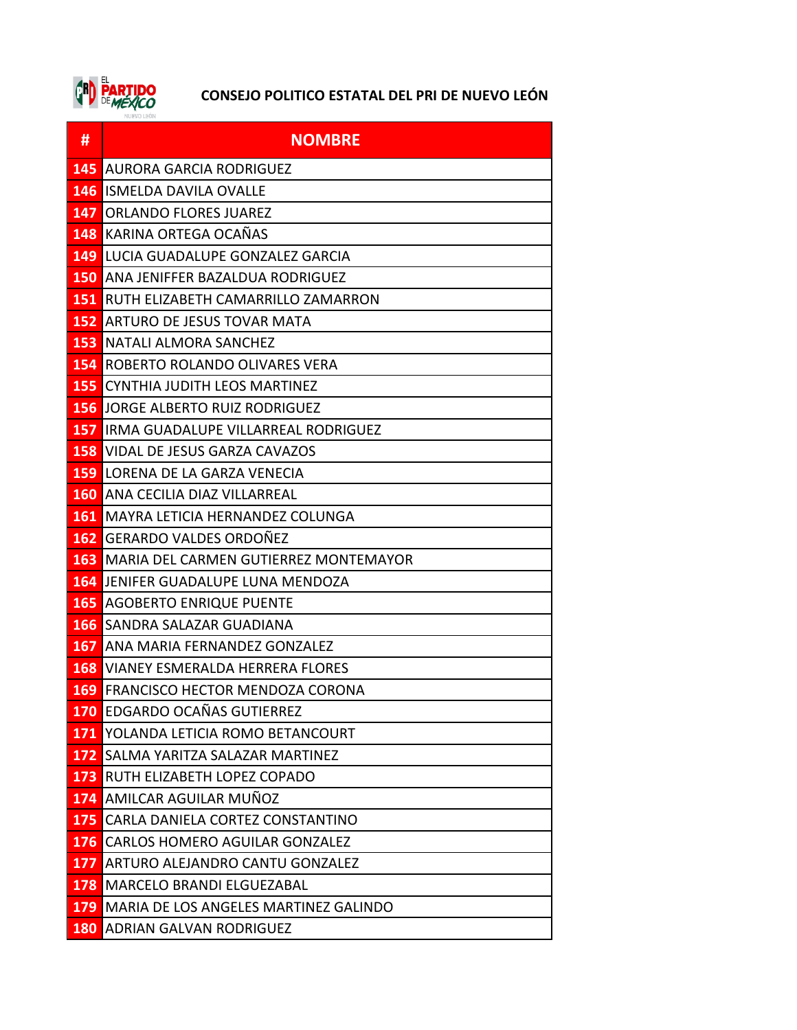

| #          | <b>NOMBRE</b>                                 |
|------------|-----------------------------------------------|
| 145        | AURORA GARCIA RODRIGUEZ                       |
|            | <b>146 ISMELDA DAVILA OVALLE</b>              |
| 147        | <b>ORLANDO FLORES JUAREZ</b>                  |
| 148        | KARINA ORTEGA OCAÑAS                          |
| 149        | LUCIA GUADALUPE GONZALEZ GARCIA               |
|            | <b>150 ANA JENIFFER BAZALDUA RODRIGUEZ</b>    |
|            | <b>151 RUTH ELIZABETH CAMARRILLO ZAMARRON</b> |
| 152        | <b>ARTURO DE JESUS TOVAR MATA</b>             |
| 153        | NATALI ALMORA SANCHEZ                         |
|            | <b>154 ROBERTO ROLANDO OLIVARES VERA</b>      |
| 155        | <b>CYNTHIA JUDITH LEOS MARTINEZ</b>           |
| 156        | JORGE ALBERTO RUIZ RODRIGUEZ                  |
| 157        | IRMA GUADALUPE VILLARREAL RODRIGUEZ           |
|            | <b>158 VIDAL DE JESUS GARZA CAVAZOS</b>       |
|            | <b>159 LORENA DE LA GARZA VENECIA</b>         |
|            | <b>160 ANA CECILIA DIAZ VILLARREAL</b>        |
| 161        | MAYRA LETICIA HERNANDEZ COLUNGA               |
| 162        | <b>GERARDO VALDES ORDOÑEZ</b>                 |
| 163        | MARIA DEL CARMEN GUTIERREZ MONTEMAYOR         |
| 164        | JENIFER GUADALUPE LUNA MENDOZA                |
| <b>165</b> | <b>AGOBERTO ENRIQUE PUENTE</b>                |
| 166        | SANDRA SALAZAR GUADIANA                       |
| 167        | ANA MARIA FERNANDEZ GONZALEZ                  |
|            | <b>168 VIANEY ESMERALDA HERRERA FLORES</b>    |
|            | <b>169 FRANCISCO HECTOR MENDOZA CORONA</b>    |
|            | <b>170 EDGARDO OCAÑAS GUTIERREZ</b>           |
| 171        | YOLANDA LETICIA ROMO BETANCOURT               |
|            | 172 SALMA YARITZA SALAZAR MARTINEZ            |
|            | <b>173 RUTH ELIZABETH LOPEZ COPADO</b>        |
|            | 174 AMILCAR AGUILAR MUÑOZ                     |
|            | 175 CARLA DANIELA CORTEZ CONSTANTINO          |
|            | 176 CARLOS HOMERO AGUILAR GONZALEZ            |
| 177        | ARTURO ALEJANDRO CANTU GONZALEZ               |
|            | <b>178 MARCELO BRANDI ELGUEZABAL</b>          |
| 179        | MARIA DE LOS ANGELES MARTINEZ GALINDO         |
|            | <b>180 ADRIAN GALVAN RODRIGUEZ</b>            |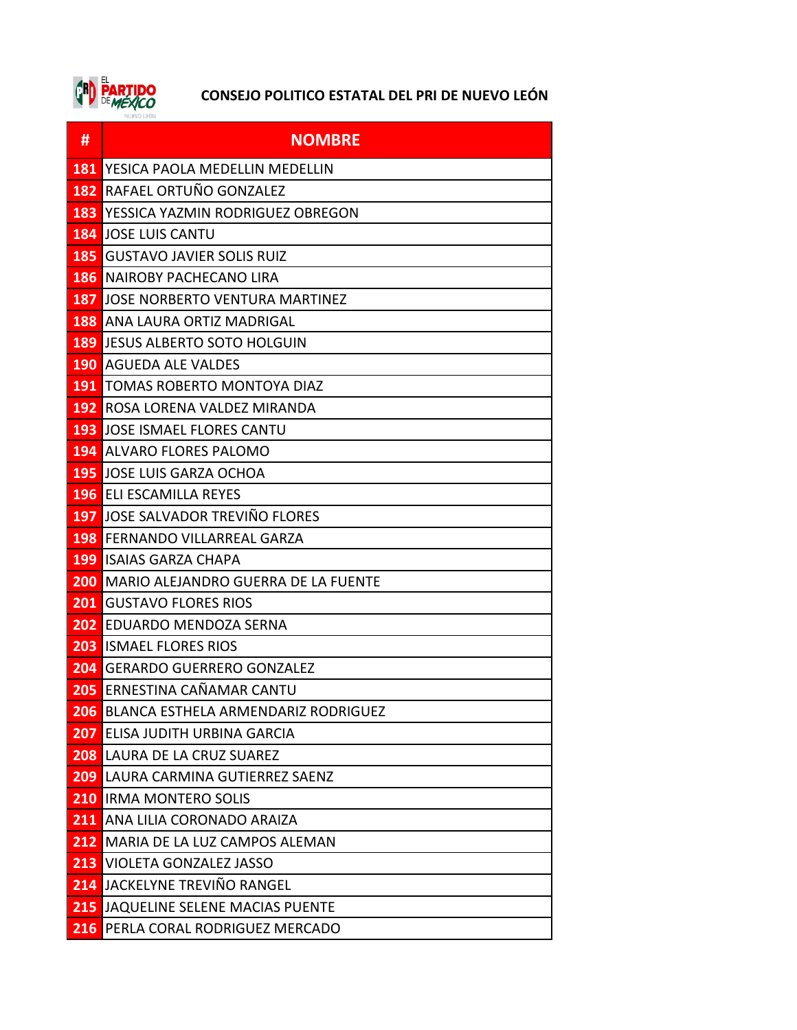

| #                | <b>NOMBRE</b>                                  |
|------------------|------------------------------------------------|
| 181              | YESICA PAOLA MEDELLIN MEDELLIN                 |
| 182              | RAFAEL ORTUÑO GONZALEZ                         |
| 183              | YESSICA YAZMIN RODRIGUEZ OBREGON               |
|                  | <b>184 JOSE LUIS CANTU</b>                     |
|                  | <b>185 GUSTAVO JAVIER SOLIS RUIZ</b>           |
|                  | <b>186 INAIROBY PACHECANO LIRA</b>             |
| 187              | IJOSE NORBERTO VENTURA MARTINEZ                |
| 188              | ANA LAURA ORTIZ MADRIGAL                       |
|                  | <b>189 JESUS ALBERTO SOTO HOLGUIN</b>          |
|                  | <b>190 AGUEDA ALE VALDES</b>                   |
|                  | <b>191 TOMAS ROBERTO MONTOYA DIAZ</b>          |
| 192              | ROSA LORENA VALDEZ MIRANDA                     |
|                  | <b>193 JOSE ISMAEL FLORES CANTU</b>            |
|                  | <b>194 ALVARO FLORES PALOMO</b>                |
|                  | <b>195 JOSE LUIS GARZA OCHOA</b>               |
|                  | <b>196 ELI ESCAMILLA REYES</b>                 |
| 197              | JOSE SALVADOR TREVIÑO FLORES                   |
|                  | <b>198 FERNANDO VILLARREAL GARZA</b>           |
|                  | <b>199 ISAIAS GARZA CHAPA</b>                  |
|                  | <b>200 MARIO ALEJANDRO GUERRA DE LA FUENTE</b> |
| 201              | <b>GUSTAVO FLORES RIOS</b>                     |
| 202              | EDUARDO MENDOZA SERNA                          |
|                  | <b>203 ISMAEL FLORES RIOS</b>                  |
| 204              | GERARDO GUERRERO GONZALEZ                      |
| 205              | ERNESTINA CAÑAMAR CANTU                        |
| 206              | <b>BLANCA ESTHELA ARMENDARIZ RODRIGUEZ</b>     |
| 207              | ELISA JUDITH URBINA GARCIA                     |
|                  | <b>208 LAURA DE LA CRUZ SUAREZ</b>             |
|                  | 209 LAURA CARMINA GUTIERREZ SAENZ              |
|                  | <b>210 IRMA MONTERO SOLIS</b>                  |
| $\overline{211}$ | ANA LILIA CORONADO ARAIZA                      |
|                  | 212 MARIA DE LA LUZ CAMPOS ALEMAN              |
|                  | <b>213 VIOLETA GONZALEZ JASSO</b>              |
|                  | 214 JACKELYNE TREVIÑO RANGEL                   |
|                  | <b>215 JAQUELINE SELENE MACIAS PUENTE</b>      |
|                  | 216 PERLA CORAL RODRIGUEZ MERCADO              |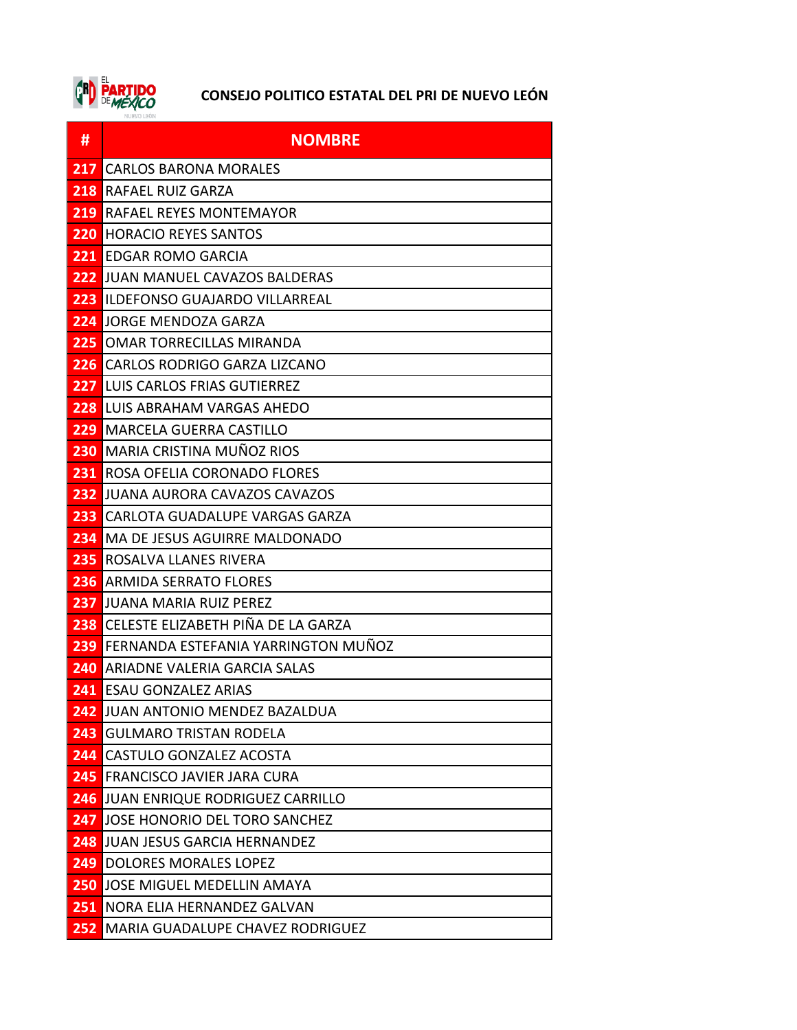

| #    | <b>NOMBRE</b>                          |
|------|----------------------------------------|
| 217  | <b>CARLOS BARONA MORALES</b>           |
| 218  | <b>RAFAEL RUIZ GARZA</b>               |
| 219  | <b>RAFAEL REYES MONTEMAYOR</b>         |
| 220  | HORACIO REYES SANTOS                   |
| 221. | <b>EDGAR ROMO GARCIA</b>               |
| 222  | <b>JUAN MANUEL CAVAZOS BALDERAS</b>    |
| 223  | <b>ILDEFONSO GUAJARDO VILLARREAL</b>   |
| 224  | JORGE MENDOZA GARZA                    |
| 225  | OMAR TORRECILLAS MIRANDA               |
| 226  | CARLOS RODRIGO GARZA LIZCANO           |
| 227  | ILUIS CARLOS FRIAS GUTIERREZ           |
| 228  | LUIS ABRAHAM VARGAS AHEDO              |
| 229  | lMARCELA GUERRA CASTILLO               |
| 230  | MARIA CRISTINA MUÑOZ RIOS              |
| 231  | <b>ROSA OFELIA CORONADO FLORES</b>     |
| 232  | JUANA AURORA CAVAZOS CAVAZOS           |
| 233  | <b>CARLOTA GUADALUPE VARGAS GARZA</b>  |
| 234  | <b>I</b> MA DE JESUS AGUIRRE MALDONADO |
| 235  | ROSALVA LLANES RIVERA                  |
| 236  | ARMIDA SERRATO FLORES                  |
| 237  | IJUANA MARIA RUIZ PEREZ                |
| 238  | CELESTE ELIZABETH PIÑA DE LA GARZA     |
| 239  | FERNANDA ESTEFANIA YARRINGTON MUÑOZ    |
| 240  | <b>ARIADNE VALERIA GARCIA SALAS</b>    |
|      | <b>241</b> ESAU GONZALEZ ARIAS         |
| 242  | JUAN ANTONIO MENDEZ BAZALDUA           |
| 243  | <b>GULMARO TRISTAN RODELA</b>          |
| 244  | <b>I</b> CASTULO GONZALEZ ACOSTA       |
| 245  | <b>FRANCISCO JAVIER JARA CURA</b>      |
| 246  | <b>JUAN ENRIQUE RODRIGUEZ CARRILLO</b> |
| 247  | JOSE HONORIO DEL TORO SANCHEZ          |
| 248  | JUAN JESUS GARCIA HERNANDEZ            |
| 249  | DOLORES MORALES LOPEZ                  |
| 250  | JOSE MIGUEL MEDELLIN AMAYA             |
| 251  | <b>NORA ELIA HERNANDEZ GALVAN</b>      |
| 252  | MARIA GUADALUPE CHAVEZ RODRIGUEZ       |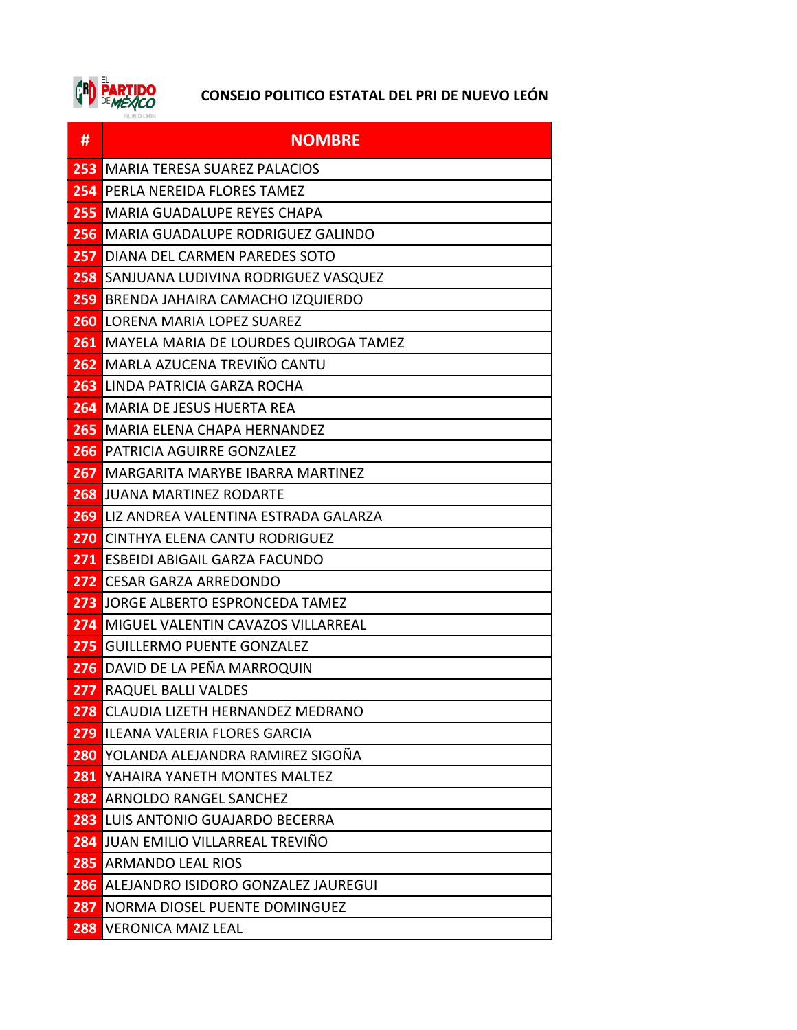

| #   | <b>NOMBRE</b>                                    |
|-----|--------------------------------------------------|
| 253 | <b>MARIA TERESA SUAREZ PALACIOS</b>              |
| 254 | <b>PERLA NEREIDA FLORES TAMEZ</b>                |
| 255 | MARIA GUADALUPE REYES CHAPA                      |
|     | 256 MARIA GUADALUPE RODRIGUEZ GALINDO            |
| 257 | DIANA DEL CARMEN PAREDES SOTO                    |
| 258 | SANJUANA LUDIVINA RODRIGUEZ VASQUEZ              |
| 259 | <b>BRENDA JAHAIRA CAMACHO IZQUIERDO</b>          |
|     | <b>260 LORENA MARIA LOPEZ SUAREZ</b>             |
|     | <b>261 MAYELA MARIA DE LOURDES QUIROGA TAMEZ</b> |
|     | 262 MARLA AZUCENA TREVIÑO CANTU                  |
| 263 | LINDA PATRICIA GARZA ROCHA                       |
| 264 | <b>I</b> MARIA DE JESUS HUERTA REA               |
|     | <b>265 MARIA ELENA CHAPA HERNANDEZ</b>           |
|     | <b>266</b> PATRICIA AGUIRRE GONZALEZ             |
| 267 | <b>MARGARITA MARYBE IBARRA MARTINEZ</b>          |
|     | <b>268 JUANA MARTINEZ RODARTE</b>                |
|     | <b>269 LIZ ANDREA VALENTINA ESTRADA GALARZA</b>  |
|     | <b>270 CINTHYA ELENA CANTU RODRIGUEZ</b>         |
|     | 271 ESBEIDI ABIGAIL GARZA FACUNDO                |
|     | 272 CESAR GARZA ARREDONDO                        |
| 273 | JORGE ALBERTO ESPRONCEDA TAMEZ                   |
| 274 | <b>MIGUEL VALENTIN CAVAZOS VILLARREAL</b>        |
|     | 275 GUILLERMO PUENTE GONZALEZ                    |
|     | 276 DAVID DE LA PEÑA MARROQUIN                   |
| 277 | RAQUEL BALLI VALDES                              |
|     | 278 CLAUDIA LIZETH HERNANDEZ MEDRANO             |
|     | <b>279 ILEANA VALERIA FLORES GARCIA</b>          |
| 280 | YOLANDA ALEJANDRA RAMIREZ SIGOÑA                 |
| 281 | YAHAIRA YANETH MONTES MALTEZ                     |
| 282 | <b>ARNOLDO RANGEL SANCHEZ</b>                    |
| 283 | LUIS ANTONIO GUAJARDO BECERRA                    |
|     | 284 JUAN EMILIO VILLARREAL TREVIÑO               |
| 285 | <b>ARMANDO LEAL RIOS</b>                         |
| 286 | ALEJANDRO ISIDORO GONZALEZ JAUREGUI              |
| 287 | NORMA DIOSEL PUENTE DOMINGUEZ                    |
| 288 | <b>VERONICA MAIZ LEAL</b>                        |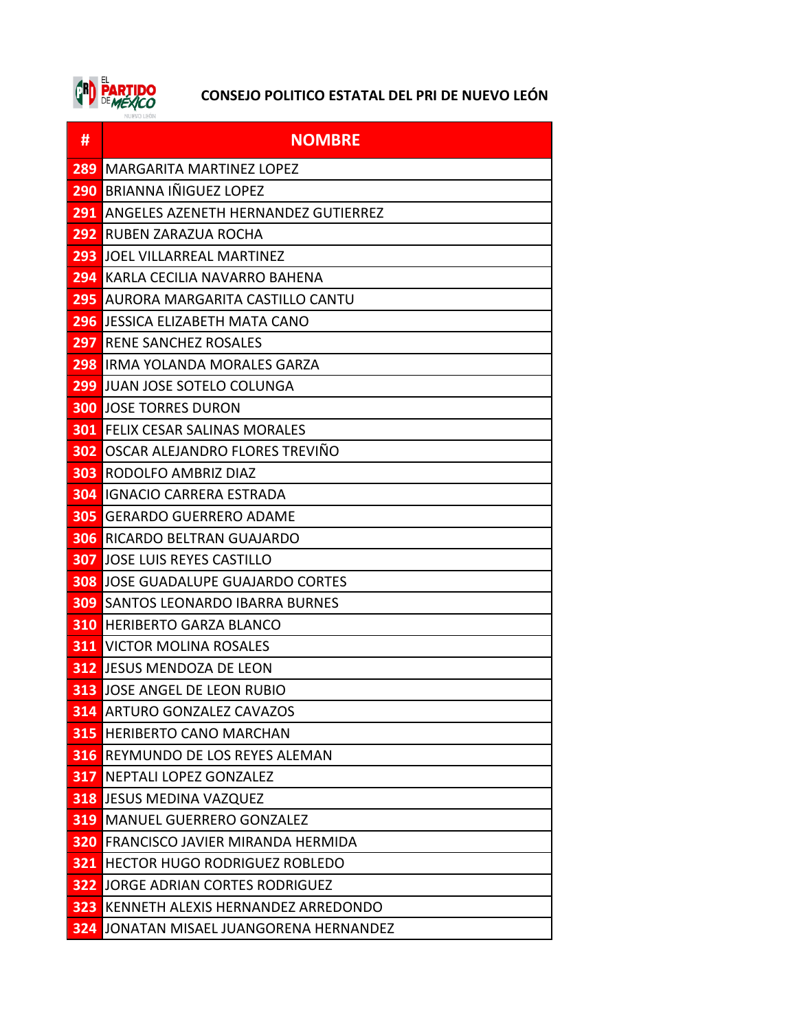

| #                | <b>NOMBRE</b>                               |
|------------------|---------------------------------------------|
| 289              | <b>MARGARITA MARTINEZ LOPEZ</b>             |
| 290              | <b>BRIANNA IÑIGUEZ LOPEZ</b>                |
| 291              | ANGELES AZENETH HERNANDEZ GUTIERREZ         |
| 292              | RUBEN ZARAZUA ROCHA                         |
| 293              | JOEL VILLARREAL MARTINEZ                    |
| 294              | KARLA CECILIA NAVARRO BAHENA                |
| 295              | AURORA MARGARITA CASTILLO CANTU             |
| 296              | LJESSICA ELIZABETH MATA CANO                |
| 297              | RENE SANCHEZ ROSALES                        |
|                  | <b>298</b> IRMA YOLANDA MORALES GARZA       |
| 299              | <b>JUAN JOSE SOTELO COLUNGA</b>             |
|                  | <b>300 JOSE TORRES DURON</b>                |
| 301              | <b>FELIX CESAR SALINAS MORALES</b>          |
| 302 <sub>1</sub> | OSCAR ALEJANDRO FLORES TREVIÑO              |
| <b>303</b>       | RODOLFO AMBRIZ DIAZ                         |
|                  | <b>304 IGNACIO CARRERA ESTRADA</b>          |
| 305              | <b>GERARDO GUERRERO ADAME</b>               |
| 306              | RICARDO BELTRAN GUAJARDO                    |
| 307              | JOSE LUIS REYES CASTILLO                    |
| 308              | JOSE GUADALUPE GUAJARDO CORTES              |
| <b>309</b>       | <b>SANTOS LEONARDO IBARRA BURNES</b>        |
| <b>310</b>       | <b>HERIBERTO GARZA BLANCO</b>               |
| 311              | VICTOR MOLINA ROSALES                       |
|                  | <b>312</b> JESUS MENDOZA DE LEON            |
|                  | <b>313 JOSE ANGEL DE LEON RUBIO</b>         |
|                  | <b>314</b> ARTURO GONZALEZ CAVAZOS          |
| 315              | <b>HERIBERTO CANO MARCHAN</b>               |
| 316              | REYMUNDO DE LOS REYES ALEMAN                |
| 317              | NEPTALI LOPEZ GONZALEZ                      |
|                  | <b>318 JESUS MEDINA VAZQUEZ</b>             |
| 319              | <b>MANUEL GUERRERO GONZALEZ</b>             |
|                  | <b>320 FRANCISCO JAVIER MIRANDA HERMIDA</b> |
|                  | <b>321 HECTOR HUGO RODRIGUEZ ROBLEDO</b>    |
|                  | <b>322 JORGE ADRIAN CORTES RODRIGUEZ</b>    |
| 323              | KENNETH ALEXIS HERNANDEZ ARREDONDO          |
| 324              | JONATAN MISAEL JUANGORENA HERNANDEZ         |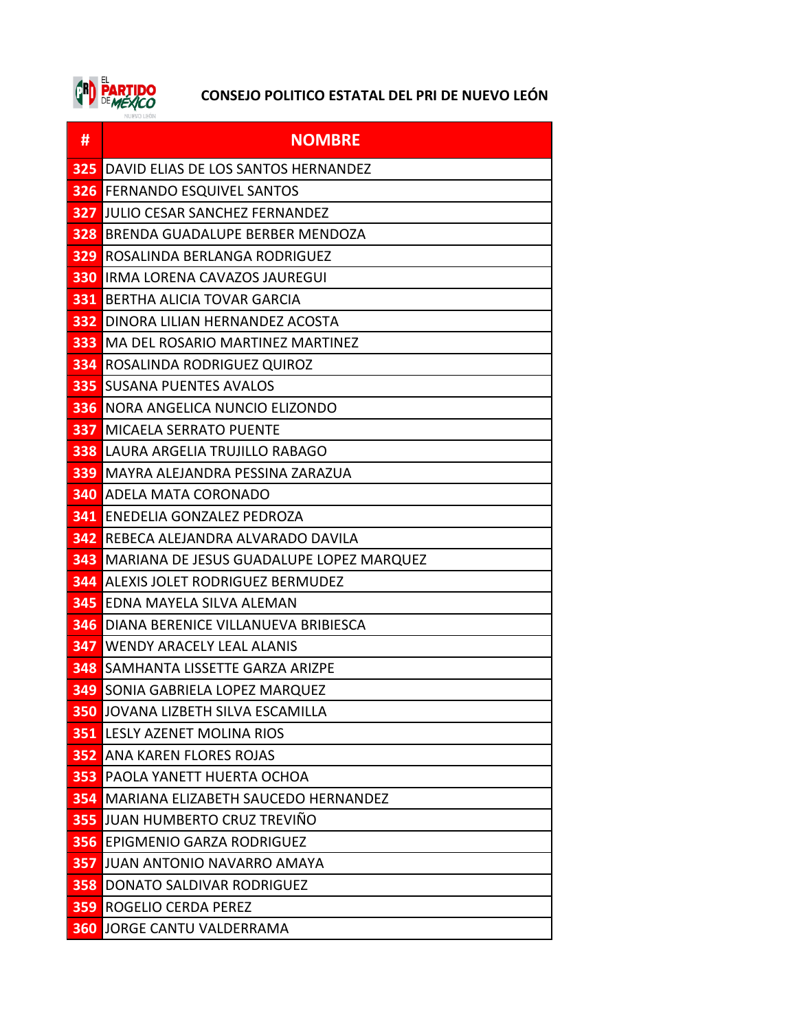

| #          | <b>NOMBRE</b>                               |
|------------|---------------------------------------------|
| 325        | DAVID ELIAS DE LOS SANTOS HERNANDEZ         |
| 326        | <b>FERNANDO ESQUIVEL SANTOS</b>             |
| 327        | JULIO CESAR SANCHEZ FERNANDEZ               |
| <b>328</b> | BRENDA GUADALUPE BERBER MENDOZA             |
| 329        | ROSALINDA BERLANGA RODRIGUEZ                |
|            | <b>330 IRMA LORENA CAVAZOS JAUREGUI</b>     |
| 331        | BERTHA ALICIA TOVAR GARCIA                  |
| 332        | DINORA LILIAN HERNANDEZ ACOSTA              |
|            | <b>333 MA DEL ROSARIO MARTINEZ MARTINEZ</b> |
|            | <b>334 ROSALINDA RODRIGUEZ QUIROZ</b>       |
| 335        | <b>SUSANA PUENTES AVALOS</b>                |
| 336        | NORA ANGELICA NUNCIO ELIZONDO               |
| 337        | <b>MICAELA SERRATO PUENTE</b>               |
|            | <b>338 LAURA ARGELIA TRUJILLO RABAGO</b>    |
| <b>339</b> | MAYRA ALEJANDRA PESSINA ZARAZUA             |
| <b>340</b> | <b>ADELA MATA CORONADO</b>                  |
| 341        | ENEDELIA GONZALEZ PEDROZA                   |
|            | <b>342 REBECA ALEJANDRA ALVARADO DAVILA</b> |
| 343        | MARIANA DE JESUS GUADALUPE LOPEZ MARQUEZ    |
| 344        | ALEXIS JOLET RODRIGUEZ BERMUDEZ             |
| 345        | EDNA MAYELA SILVA ALEMAN                    |
| <b>346</b> | DIANA BERENICE VILLANUEVA BRIBIESCA         |
| 347        | <b>WENDY ARACELY LEAL ALANIS</b>            |
| 348        | SAMHANTA LISSETTE GARZA ARIZPE              |
| 349        | SONIA GABRIELA LOPEZ MARQUEZ                |
|            | <b>350 JOVANA LIZBETH SILVA ESCAMILLA</b>   |
|            | <b>351 LESLY AZENET MOLINA RIOS</b>         |
| 352        | ANA KAREN FLORES ROJAS                      |
| 353        | PAOLA YANETT HUERTA OCHOA                   |
| 354        | MARIANA ELIZABETH SAUCEDO HERNANDEZ         |
| 355        | JUAN HUMBERTO CRUZ TREVIÑO                  |
| 356        | <b>EPIGMENIO GARZA RODRIGUEZ</b>            |
| 357        | <b>JUAN ANTONIO NAVARRO AMAYA</b>           |
| 358        | DONATO SALDIVAR RODRIGUEZ                   |
| 359        | ROGELIO CERDA PEREZ                         |
|            | <b>360 JORGE CANTU VALDERRAMA</b>           |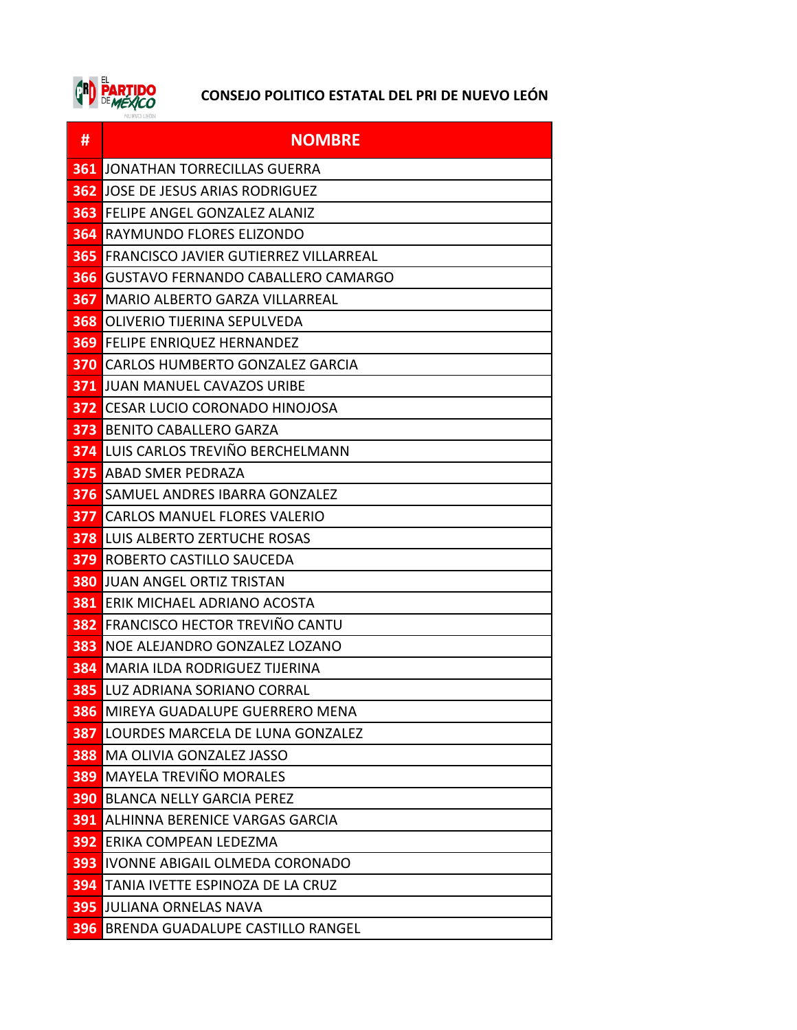

| #   | <b>NOMBRE</b>                                |
|-----|----------------------------------------------|
| 361 | JONATHAN TORRECILLAS GUERRA                  |
| 362 | JOSE DE JESUS ARIAS RODRIGUEZ                |
| 363 | <b>FELIPE ANGEL GONZALEZ ALANIZ</b>          |
| 364 | RAYMUNDO FLORES ELIZONDO                     |
| 365 | <b>FRANCISCO JAVIER GUTIERREZ VILLARREAL</b> |
| 366 | GUSTAVO FERNANDO CABALLERO CAMARGO           |
| 367 | IMARIO ALBERTO GARZA VILLARREAL              |
| 368 | <b>OLIVERIO TIJERINA SEPULVEDA</b>           |
| 369 | <b>FELIPE ENRIQUEZ HERNANDEZ</b>             |
|     | <b>370 CARLOS HUMBERTO GONZALEZ GARCIA</b>   |
| 371 | JUAN MANUEL CAVAZOS URIBE                    |
| 372 | <b>CESAR LUCIO CORONADO HINOJOSA</b>         |
| 373 | BENITO CABALLERO GARZA                       |
| 374 | LUIS CARLOS TREVIÑO BERCHELMANN              |
| 375 | ABAD SMER PEDRAZA                            |
| 376 | SAMUEL ANDRES IBARRA GONZALEZ                |
| 377 | <b>CARLOS MANUEL FLORES VALERIO</b>          |
|     | <b>378 LUIS ALBERTO ZERTUCHE ROSAS</b>       |
| 379 | ROBERTO CASTILLO SAUCEDA                     |
| 380 | JUAN ANGEL ORTIZ TRISTAN                     |
| 381 | <b>ERIK MICHAEL ADRIANO ACOSTA</b>           |
| 382 | FRANCISCO HECTOR TREVIÑO CANTU               |
| 383 | NOE ALEJANDRO GONZALEZ LOZANO                |
| 384 | <b>MARIA ILDA RODRIGUEZ TIJERINA</b>         |
| 385 | LUZ ADRIANA SORIANO CORRAL                   |
| 386 | MIREYA GUADALUPE GUERRERO MENA               |
| 387 | LOURDES MARCELA DE LUNA GONZALEZ             |
| 388 | <b>MA OLIVIA GONZALEZ JASSO</b>              |
| 389 | <b>MAYELA TREVIÑO MORALES</b>                |
| 390 | <b>BLANCA NELLY GARCIA PEREZ</b>             |
| 391 | ALHINNA BERENICE VARGAS GARCIA               |
| 392 | ERIKA COMPEAN LEDEZMA                        |
| 393 | <b>IVONNE ABIGAIL OLMEDA CORONADO</b>        |
| 394 | TANIA IVETTE ESPINOZA DE LA CRUZ             |
| 395 | JULIANA ORNELAS NAVA                         |
| 396 | <b>BRENDA GUADALUPE CASTILLO RANGEL</b>      |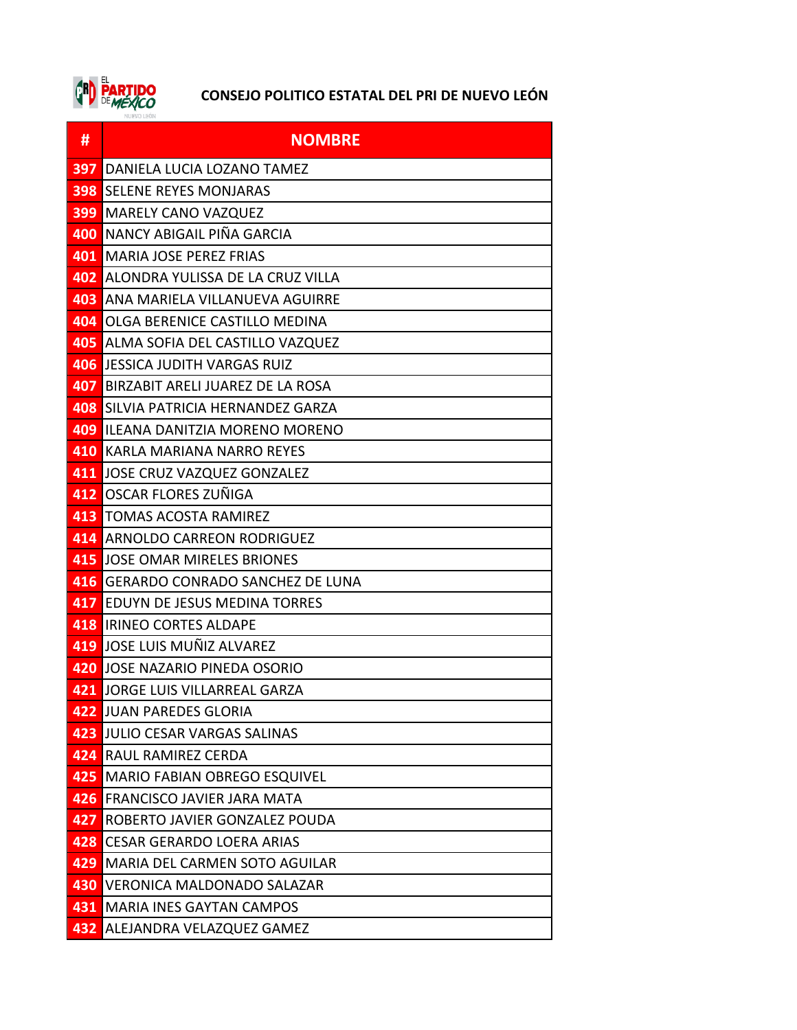

| #   | <b>NOMBRE</b>                           |
|-----|-----------------------------------------|
| 397 | DANIELA LUCIA LOZANO TAMEZ              |
| 398 | <b>SELENE REYES MONJARAS</b>            |
| 399 | <b>MARELY CANO VAZQUEZ</b>              |
| 400 | NANCY ABIGAIL PIÑA GARCIA               |
|     | <b>401   MARIA JOSE PEREZ FRIAS</b>     |
| 402 | ALONDRA YULISSA DE LA CRUZ VILLA        |
| 403 | ANA MARIELA VILLANUEVA AGUIRRE          |
| 404 | OLGA BERENICE CASTILLO MEDINA           |
| 405 | ALMA SOFIA DEL CASTILLO VAZQUEZ         |
| 406 | <b>JESSICA JUDITH VARGAS RUIZ</b>       |
| 407 | BIRZABIT ARELI JUAREZ DE LA ROSA        |
| 408 | SILVIA PATRICIA HERNANDEZ GARZA         |
|     | 409 ILEANA DANITZIA MORENO MORENO       |
|     | 410 KARLA MARIANA NARRO REYES           |
|     | 411 JOSE CRUZ VAZQUEZ GONZALEZ          |
|     | 412 OSCAR FLORES ZUÑIGA                 |
|     | <b>413 TOMAS ACOSTA RAMIREZ</b>         |
|     | 414 ARNOLDO CARREON RODRIGUEZ           |
| 415 | <b>JOSE OMAR MIRELES BRIONES</b>        |
| 416 | <b>GERARDO CONRADO SANCHEZ DE LUNA</b>  |
| 417 | EDUYN DE JESUS MEDINA TORRES            |
|     | <b>418 IRINEO CORTES ALDAPE</b>         |
|     | 419 JOSE LUIS MUÑIZ ALVAREZ             |
|     | 420 JOSE NAZARIO PINEDA OSORIO          |
|     | 421 JORGE LUIS VILLARREAL GARZA         |
|     | <b>422 JUAN PAREDES GLORIA</b>          |
| 423 | JULIO CESAR VARGAS SALINAS              |
|     | 424 RAUL RAMIREZ CERDA                  |
|     | <b>425 MARIO FABIAN OBREGO ESQUIVEL</b> |
| 426 | <b>FRANCISCO JAVIER JARA MATA</b>       |
| 427 | ROBERTO JAVIER GONZALEZ POUDA           |
|     | 428 CESAR GERARDO LOERA ARIAS           |
| 429 | MARIA DEL CARMEN SOTO AGUILAR           |
| 430 | <b>VERONICA MALDONADO SALAZAR</b>       |
| 431 | <b>MARIA INES GAYTAN CAMPOS</b>         |
| 432 | ALEJANDRA VELAZQUEZ GAMEZ               |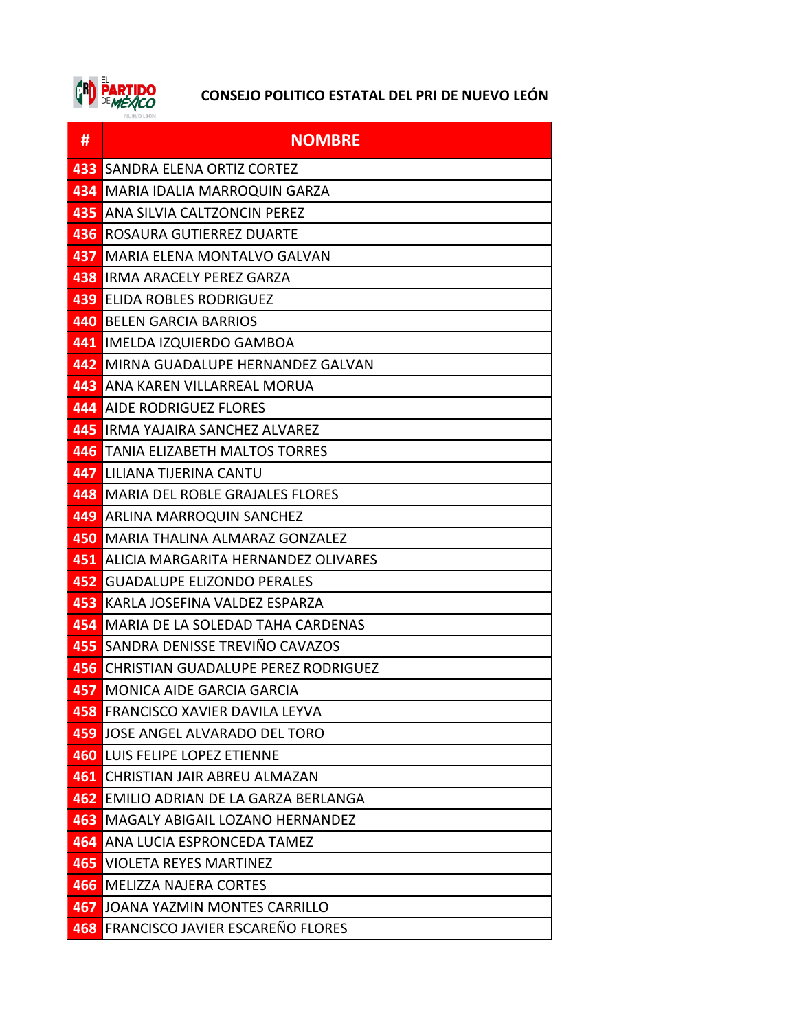

| #   | <b>NOMBRE</b>                              |
|-----|--------------------------------------------|
| 433 | SANDRA ELENA ORTIZ CORTEZ                  |
| 434 | MARIA IDALIA MARROQUIN GARZA               |
| 435 | ANA SILVIA CALTZONCIN PEREZ                |
| 436 | ROSAURA GUTIERREZ DUARTE                   |
| 437 | <b>MARIA ELENA MONTALVO GALVAN</b>         |
|     | <b>438 IRMA ARACELY PEREZ GARZA</b>        |
| 439 | <b>ELIDA ROBLES RODRIGUEZ</b>              |
|     | <b>440 BELEN GARCIA BARRIOS</b>            |
|     | 441 IMELDA IZQUIERDO GAMBOA                |
|     | 442 MIRNA GUADALUPE HERNANDEZ GALVAN       |
| 443 | ANA KAREN VILLARREAL MORUA                 |
| 444 | <b>AIDE RODRIGUEZ FLORES</b>               |
|     | 445 IRMA YAJAIRA SANCHEZ ALVAREZ           |
|     | <b>446 TANIA ELIZABETH MALTOS TORRES</b>   |
|     | 447 LILIANA TIJERINA CANTU                 |
|     | 448 MARIA DEL ROBLE GRAJALES FLORES        |
| 449 | ARLINA MARROQUIN SANCHEZ                   |
| 450 | IMARIA THALINA ALMARAZ GONZALEZ            |
| 451 | ALICIA MARGARITA HERNANDEZ OLIVARES        |
| 452 | <b>GUADALUPE ELIZONDO PERALES</b>          |
| 453 | KARLA JOSEFINA VALDEZ ESPARZA              |
| 454 | MARIA DE LA SOLEDAD TAHA CARDENAS          |
|     | <b>455 SANDRA DENISSE TREVIÑO CAVAZOS</b>  |
| 456 | <b>CHRISTIAN GUADALUPE PEREZ RODRIGUEZ</b> |
| 457 | MONICA AIDE GARCIA GARCIA                  |
|     | 458 FRANCISCO XAVIER DAVILA LEYVA          |
| 459 | JOSE ANGEL ALVARADO DEL TORO               |
| 460 | LUIS FELIPE LOPEZ ETIENNE                  |
| 461 | <b>CHRISTIAN JAIR ABREU ALMAZAN</b>        |
| 462 | EMILIO ADRIAN DE LA GARZA BERLANGA         |
| 463 | MAGALY ABIGAIL LOZANO HERNANDEZ            |
|     | 464 ANA LUCIA ESPRONCEDA TAMEZ             |
| 465 | <b>VIOLETA REYES MARTINEZ</b>              |
| 466 | <b>MELIZZA NAJERA CORTES</b>               |
| 467 | <b>JOANA YAZMIN MONTES CARRILLO</b>        |
|     | 468 FRANCISCO JAVIER ESCAREÑO FLORES       |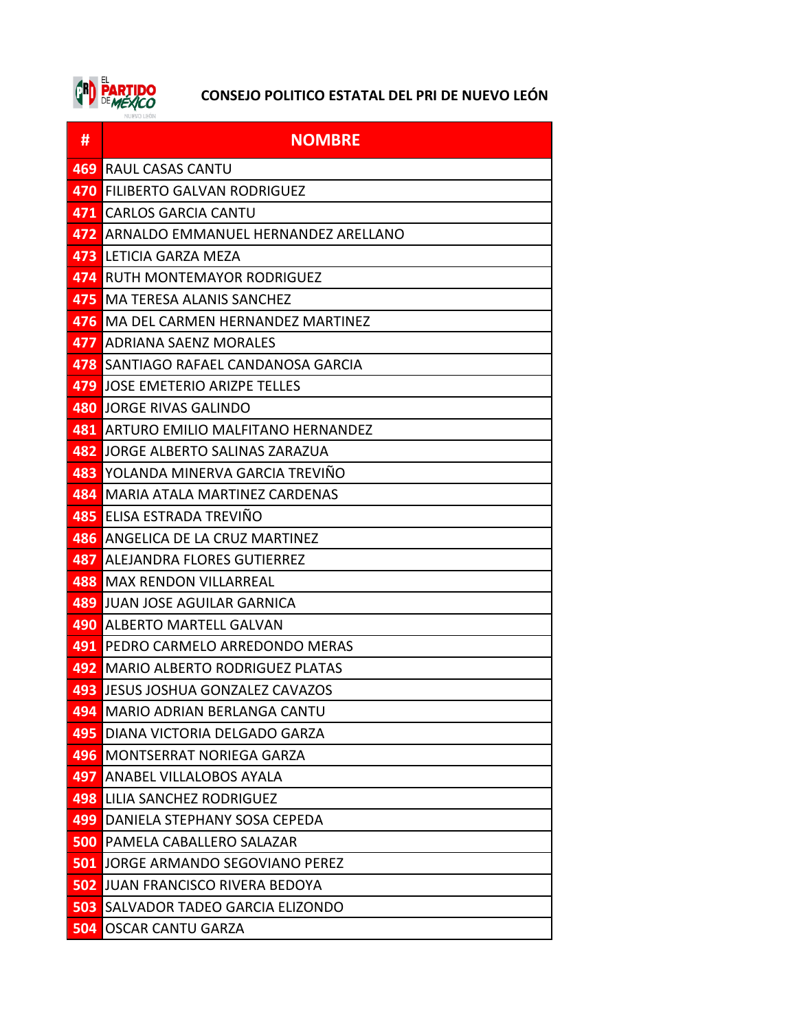

| #   | <b>NOMBRE</b>                         |
|-----|---------------------------------------|
| 469 | RAUL CASAS CANTU                      |
| 470 | <b>FILIBERTO GALVAN RODRIGUEZ</b>     |
| 471 | <b>CARLOS GARCIA CANTU</b>            |
| 472 | ARNALDO EMMANUEL HERNANDEZ ARELLANO   |
| 473 | LETICIA GARZA MEZA                    |
| 474 | RUTH MONTEMAYOR RODRIGUEZ             |
| 475 | <b>MA TERESA ALANIS SANCHEZ</b>       |
| 476 | MA DEL CARMEN HERNANDEZ MARTINEZ      |
| 477 | <b>ADRIANA SAENZ MORALES</b>          |
| 478 | SANTIAGO RAFAEL CANDANOSA GARCIA      |
| 479 | JOSE EMETERIO ARIZPE TELLES           |
| 480 | <b>JORGE RIVAS GALINDO</b>            |
| 481 | ARTURO EMILIO MALFITANO HERNANDEZ     |
| 482 | JORGE ALBERTO SALINAS ZARAZUA         |
| 483 | YOLANDA MINERVA GARCIA TREVIÑO        |
| 484 | <b>MARIA ATALA MARTINEZ CARDENAS</b>  |
| 485 | ELISA ESTRADA TREVIÑO                 |
| 486 | ANGELICA DE LA CRUZ MARTINEZ          |
| 487 | <b>ALEJANDRA FLORES GUTIERREZ</b>     |
| 488 | <b>MAX RENDON VILLARREAL</b>          |
| 489 | JUAN JOSE AGUILAR GARNICA             |
| 490 | <b>ALBERTO MARTELL GALVAN</b>         |
| 491 | PEDRO CARMELO ARREDONDO MERAS         |
| 492 | <b>MARIO ALBERTO RODRIGUEZ PLATAS</b> |
| 493 | JESUS JOSHUA GONZALEZ CAVAZOS         |
| 494 | <b>MARIO ADRIAN BERLANGA CANTU</b>    |
| 495 | DIANA VICTORIA DELGADO GARZA          |
| 496 | <b>MONTSERRAT NORIEGA GARZA</b>       |
| 497 | ANABEL VILLALOBOS AYALA               |
| 498 | LILIA SANCHEZ RODRIGUEZ               |
| 499 | DANIELA STEPHANY SOSA CEPEDA          |
| 500 | PAMELA CABALLERO SALAZAR              |
| 501 | IJORGE ARMANDO SEGOVIANO PEREZ        |
| 502 | JUAN FRANCISCO RIVERA BEDOYA          |
| 503 | SALVADOR TADEO GARCIA ELIZONDO        |
| 504 | <b>OSCAR CANTU GARZA</b>              |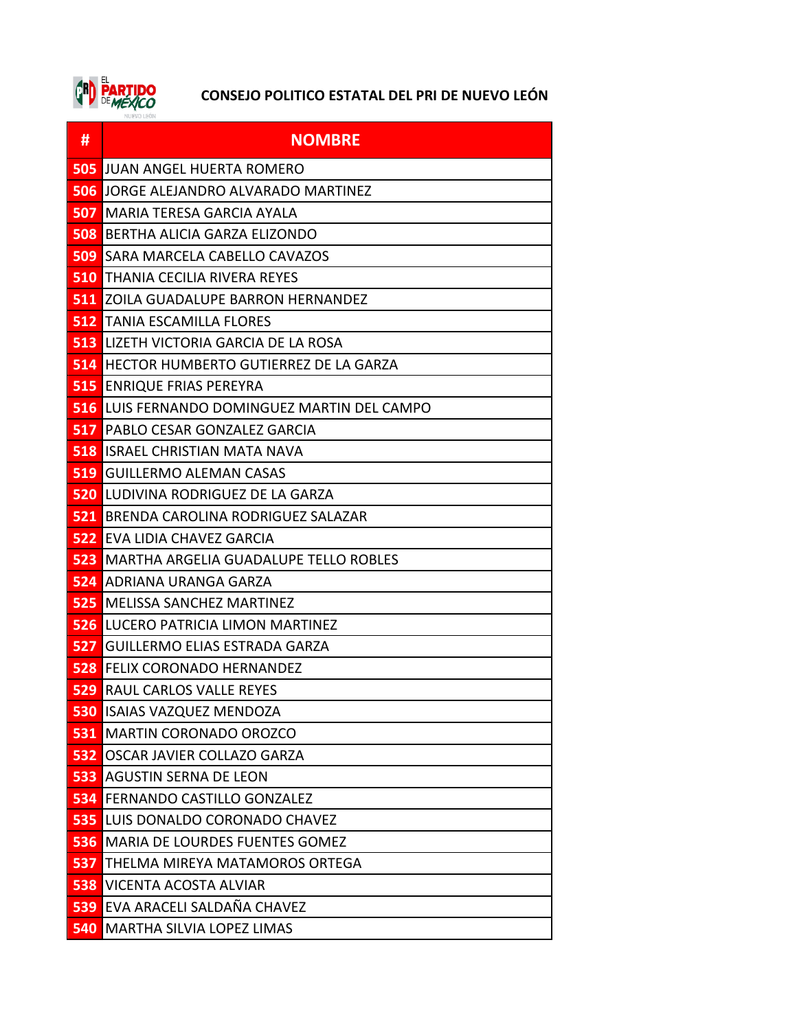

| #          | <b>NOMBRE</b>                                |
|------------|----------------------------------------------|
| 505        | JUAN ANGEL HUERTA ROMERO                     |
| 506        | JORGE ALEJANDRO ALVARADO MARTINEZ            |
| 507        | MARIA TERESA GARCIA AYALA                    |
| <b>508</b> | BERTHA ALICIA GARZA ELIZONDO                 |
| <b>509</b> | SARA MARCELA CABELLO CAVAZOS                 |
| 510        | THANIA CECILIA RIVERA REYES                  |
| 511        | ZOILA GUADALUPE BARRON HERNANDEZ             |
|            | <b>512</b> TANIA ESCAMILLA FLORES            |
| 513        | LIZETH VICTORIA GARCIA DE LA ROSA            |
| 514        | HECTOR HUMBERTO GUTIERREZ DE LA GARZA        |
| 515        | <b>ENRIQUE FRIAS PEREYRA</b>                 |
| <b>516</b> | LUIS FERNANDO DOMINGUEZ MARTIN DEL CAMPO     |
| 517        | PABLO CESAR GONZALEZ GARCIA                  |
| 518        | ISRAEL CHRISTIAN MATA NAVA                   |
| 519        | <b>GUILLERMO ALEMAN CASAS</b>                |
| <b>520</b> | LUDIVINA RODRIGUEZ DE LA GARZA               |
| 521        | BRENDA CAROLINA RODRIGUEZ SALAZAR            |
| <b>522</b> | EVA LIDIA CHAVEZ GARCIA                      |
| 523        | <b>MARTHA ARGELIA GUADALUPE TELLO ROBLES</b> |
| 524        | ADRIANA URANGA GARZA                         |
| 525        | <b>MELISSA SANCHEZ MARTINEZ</b>              |
| <b>526</b> | LUCERO PATRICIA LIMON MARTINEZ               |
| 527        | GUILLERMO ELIAS ESTRADA GARZA                |
| 528        | <b>FELIX CORONADO HERNANDEZ</b>              |
| 529        | RAUL CARLOS VALLE REYES                      |
|            | <b>530 ISAIAS VAZQUEZ MENDOZA</b>            |
| 531        | <b>MARTIN CORONADO OROZCO</b>                |
| 532        | OSCAR JAVIER COLLAZO GARZA                   |
| 533        | <b>AGUSTIN SERNA DE LEON</b>                 |
| 534        | FERNANDO CASTILLO GONZALEZ                   |
| 535        | LUIS DONALDO CORONADO CHAVEZ                 |
| 536        | MARIA DE LOURDES FUENTES GOMEZ               |
| 537        | THELMA MIREYA MATAMOROS ORTEGA               |
| 538        | VICENTA ACOSTA ALVIAR                        |
| <b>539</b> | EVA ARACELI SALDAÑA CHAVEZ                   |
| 540        | MARTHA SILVIA LOPEZ LIMAS                    |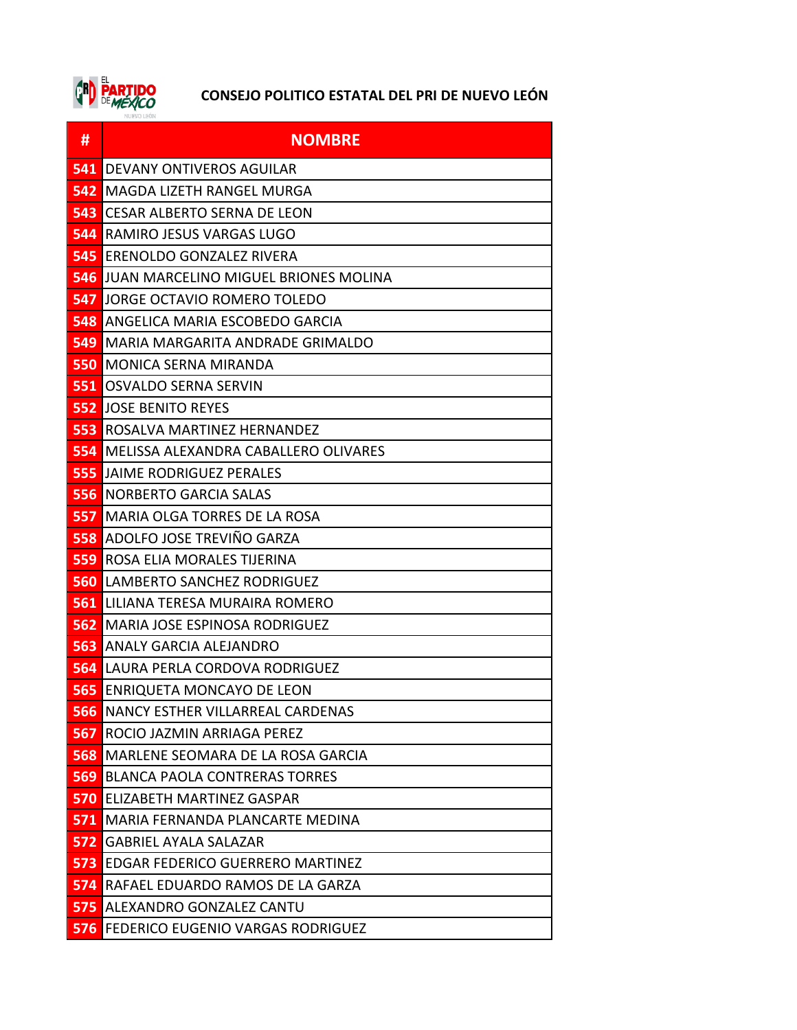

| #          | <b>NOMBRE</b>                                |
|------------|----------------------------------------------|
| 541        | <b>DEVANY ONTIVEROS AGUILAR</b>              |
| 542        | MAGDA LIZETH RANGEL MURGA                    |
| 543        | CESAR ALBERTO SERNA DE LEON                  |
| 544        | <b>RAMIRO JESUS VARGAS LUGO</b>              |
| 545        | IERENOLDO GONZALEZ RIVERA                    |
| 546        | IJUAN MARCELINO MIGUEL BRIONES MOLINA        |
| 547        | JORGE OCTAVIO ROMERO TOLEDO                  |
|            | <b>548 ANGELICA MARIA ESCOBEDO GARCIA</b>    |
| 549        | MARIA MARGARITA ANDRADE GRIMALDO             |
| 550        | <b>MONICA SERNA MIRANDA</b>                  |
| 551        | <b>OSVALDO SERNA SERVIN</b>                  |
|            | <b>552 JOSE BENITO REYES</b>                 |
| 553        | ROSALVA MARTINEZ HERNANDEZ                   |
| 554        | IMELISSA ALEXANDRA CABALLERO OLIVARES        |
| 555        | IJAIME RODRIGUEZ PERALES                     |
| 556        | <b>NORBERTO GARCIA SALAS</b>                 |
| 557        | MARIA OLGA TORRES DE LA ROSA                 |
|            | 558 ADOLFO JOSE TREVIÑO GARZA                |
| 559        | ROSA ELIA MORALES TIJERINA                   |
| 560        | LAMBERTO SANCHEZ RODRIGUEZ                   |
| 561.       | LILIANA TERESA MURAIRA ROMERO                |
| <b>562</b> | MARIA JOSE ESPINOSA RODRIGUEZ                |
| 563        | ANALY GARCIA ALEJANDRO                       |
| 564        | ILAURA PERLA CORDOVA RODRIGUEZ               |
| 565        | <b>ENRIQUETA MONCAYO DE LEON</b>             |
|            | <b>566 NANCY ESTHER VILLARREAL CARDENAS</b>  |
| 567        | ROCIO JAZMIN ARRIAGA PEREZ                   |
| 568        | MARLENE SEOMARA DE LA ROSA GARCIA            |
| 569        | <b>BLANCA PAOLA CONTRERAS TORRES</b>         |
|            | <b>570 ELIZABETH MARTINEZ GASPAR</b>         |
|            | 571 MARIA FERNANDA PLANCARTE MEDINA          |
|            | 572 GABRIEL AYALA SALAZAR                    |
| 573        | <b>EDGAR FEDERICO GUERRERO MARTINEZ</b>      |
| 574        | RAFAEL EDUARDO RAMOS DE LA GARZA             |
| 575        | ALEXANDRO GONZALEZ CANTU                     |
|            | <b>576 FEDERICO EUGENIO VARGAS RODRIGUEZ</b> |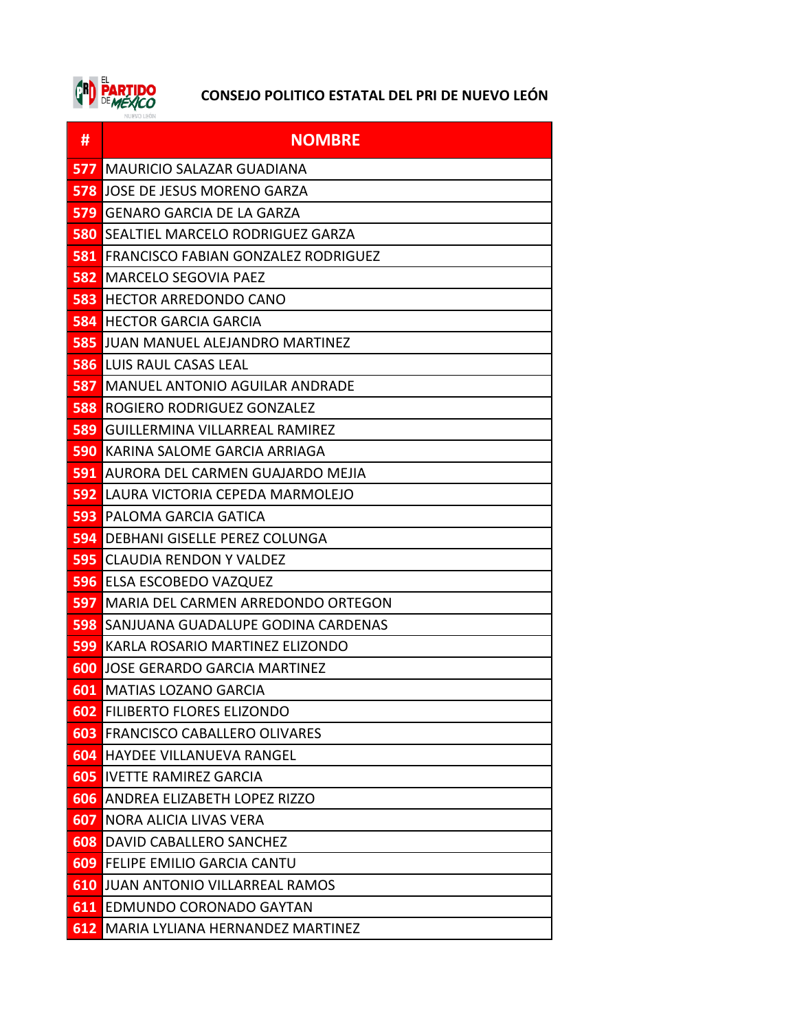

| #          | <b>NOMBRE</b>                              |
|------------|--------------------------------------------|
| 577        | MAURICIO SALAZAR GUADIANA                  |
| 578        | JOSE DE JESUS MORENO GARZA                 |
| 579        | GENARO GARCIA DE LA GARZA                  |
| 580        | SEALTIEL MARCELO RODRIGUEZ GARZA           |
| 581        | <b>FRANCISCO FABIAN GONZALEZ RODRIGUEZ</b> |
| 582        | <b>MARCELO SEGOVIA PAEZ</b>                |
| 583        | <b>HECTOR ARREDONDO CANO</b>               |
| <b>584</b> | <b>HECTOR GARCIA GARCIA</b>                |
|            | <b>585 JUAN MANUEL ALEJANDRO MARTINEZ</b>  |
| <b>586</b> | LUIS RAUL CASAS LEAL                       |
| 587        | MANUEL ANTONIO AGUILAR ANDRADE             |
| 588        | ROGIERO RODRIGUEZ GONZALEZ                 |
| 589        | GUILLERMINA VILLARREAL RAMIREZ             |
| 590        | KARINA SALOME GARCIA ARRIAGA               |
| 591        | AURORA DEL CARMEN GUAJARDO MEJIA           |
| 592        | LAURA VICTORIA CEPEDA MARMOLEJO            |
| 593        | PALOMA GARCIA GATICA                       |
| <b>594</b> | DEBHANI GISELLE PEREZ COLUNGA              |
| 595        | <b>CLAUDIA RENDON Y VALDEZ</b>             |
| <b>596</b> | ELSA ESCOBEDO VAZQUEZ                      |
| 597        | MARIA DEL CARMEN ARREDONDO ORTEGON         |
| 598        | SANJUANA GUADALUPE GODINA CARDENAS         |
| 599        | KARLA ROSARIO MARTINEZ ELIZONDO            |
| 600        | JOSE GERARDO GARCIA MARTINEZ               |
| 601        | <b>MATIAS LOZANO GARCIA</b>                |
| 602        | FILIBERTO FLORES ELIZONDO                  |
| 603        | <b>FRANCISCO CABALLERO OLIVARES</b>        |
| 604        | <b>HAYDEE VILLANUEVA RANGEL</b>            |
| 605        | <b>IVETTE RAMIREZ GARCIA</b>               |
| 606        | ANDREA ELIZABETH LOPEZ RIZZO               |
| 607        | NORA ALICIA LIVAS VERA                     |
| 608        | DAVID CABALLERO SANCHEZ                    |
| 609        | <b>FELIPE EMILIO GARCIA CANTU</b>          |
| 610        | JUAN ANTONIO VILLARREAL RAMOS              |
| 611        | EDMUNDO CORONADO GAYTAN                    |
| 612        | MARIA LYLIANA HERNANDEZ MARTINEZ           |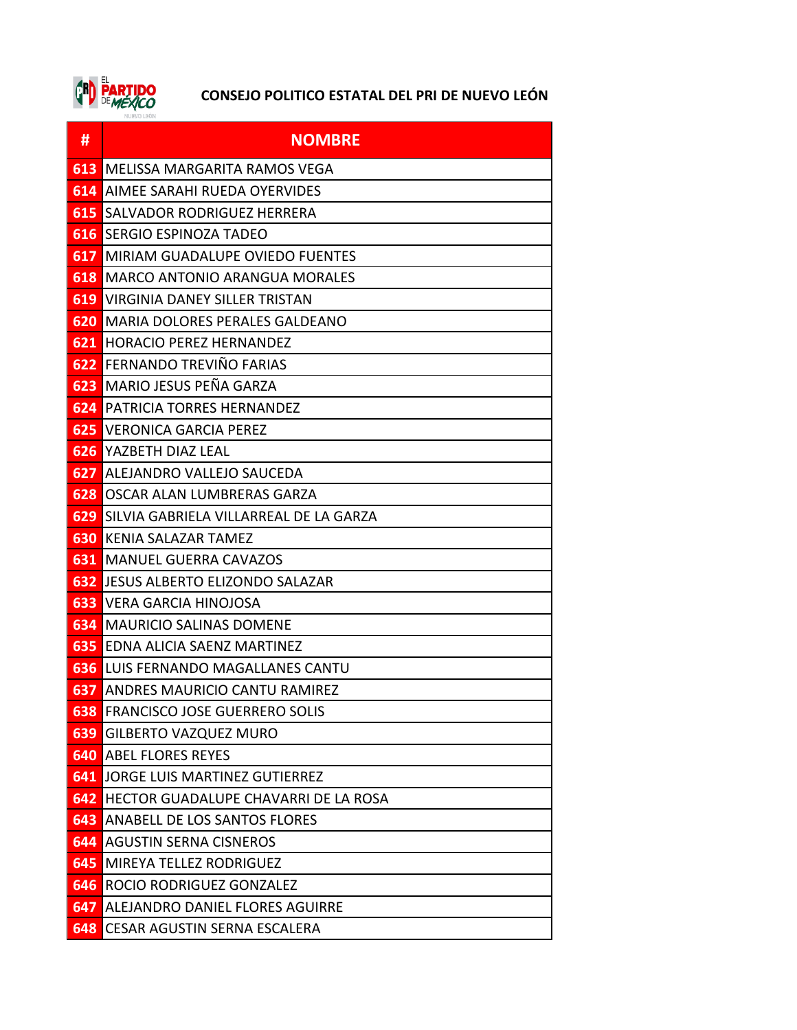

| #          | <b>NOMBRE</b>                             |
|------------|-------------------------------------------|
| 613        | MELISSA MARGARITA RAMOS VEGA              |
| 614        | AIMEE SARAHI RUEDA OYERVIDES              |
| 615        | SALVADOR RODRIGUEZ HERRERA                |
| 616        | SERGIO ESPINOZA TADEO                     |
| 617        | MIRIAM GUADALUPE OVIEDO FUENTES           |
|            | <b>618</b> MARCO ANTONIO ARANGUA MORALES  |
| 619        | <b>VIRGINIA DANEY SILLER TRISTAN</b>      |
|            | <b>620 MARIA DOLORES PERALES GALDEANO</b> |
|            | <b>621 IHORACIO PEREZ HERNANDEZ</b>       |
|            | <b>622 FERNANDO TREVIÑO FARIAS</b>        |
| 623        | MARIO JESUS PEÑA GARZA                    |
| 624        | PATRICIA TORRES HERNANDEZ                 |
| 625        | <b>VERONICA GARCIA PEREZ</b>              |
| <b>626</b> | YAZBETH DIAZ LEAL                         |
| 627        | ALEJANDRO VALLEJO SAUCEDA                 |
| 628        | OSCAR ALAN LUMBRERAS GARZA                |
| 629        | SILVIA GABRIELA VILLARREAL DE LA GARZA    |
| 630        | KENIA SALAZAR TAMEZ                       |
| 631        | <b>MANUEL GUERRA CAVAZOS</b>              |
|            | <b>632 JESUS ALBERTO ELIZONDO SALAZAR</b> |
| 633        | <b>VERA GARCIA HINOJOSA</b>               |
| 634        | <b>MAURICIO SALINAS DOMENE</b>            |
|            | <b>635 EDNA ALICIA SAENZ MARTINEZ</b>     |
|            | <b>636 LUIS FERNANDO MAGALLANES CANTU</b> |
| 637        | ANDRES MAURICIO CANTU RAMIREZ             |
|            | <b>638 FRANCISCO JOSE GUERRERO SOLIS</b>  |
| 639        | <b>GILBERTO VAZQUEZ MURO</b>              |
|            | <b>640 ABEL FLORES REYES</b>              |
|            | <b>641 JORGE LUIS MARTINEZ GUTIERREZ</b>  |
| 642        | HECTOR GUADALUPE CHAVARRI DE LA ROSA      |
| 643        | ANABELL DE LOS SANTOS FLORES              |
|            | <b>644 AGUSTIN SERNA CISNEROS</b>         |
| 645        | <b>MIREYA TELLEZ RODRIGUEZ</b>            |
| 646        | <b>ROCIO RODRIGUEZ GONZALEZ</b>           |
| 647        | ALEJANDRO DANIEL FLORES AGUIRRE           |
|            | <b>648 CESAR AGUSTIN SERNA ESCALERA</b>   |